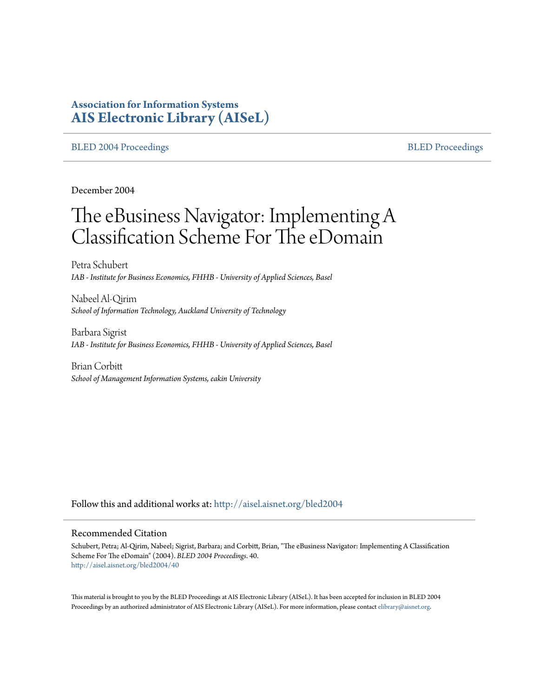# **Association for Information Systems [AIS Electronic Library \(AISeL\)](http://aisel.aisnet.org?utm_source=aisel.aisnet.org%2Fbled2004%2F40&utm_medium=PDF&utm_campaign=PDFCoverPages)**

#### [BLED 2004 Proceedings](http://aisel.aisnet.org/bled2004?utm_source=aisel.aisnet.org%2Fbled2004%2F40&utm_medium=PDF&utm_campaign=PDFCoverPages) and the state of the state of the [BLED Proceedings](http://aisel.aisnet.org/bled?utm_source=aisel.aisnet.org%2Fbled2004%2F40&utm_medium=PDF&utm_campaign=PDFCoverPages) and the BLED Proceedings and the BLED Proceedings and the BLED Proceedings and the BLED Proceedings and the BLED Proceedings and the BLED Proceedings

December 2004

# The eBusiness Navigator: Implementing A Classification Scheme For The eDomain

Petra Schubert *IAB - Institute for Business Economics, FHHB - University of Applied Sciences, Basel*

Nabeel Al-Qirim *School of Information Technology, Auckland University of Technology*

Barbara Sigrist *IAB - Institute for Business Economics, FHHB - University of Applied Sciences, Basel*

Brian Corbitt *School of Management Information Systems, eakin University*

Follow this and additional works at: [http://aisel.aisnet.org/bled2004](http://aisel.aisnet.org/bled2004?utm_source=aisel.aisnet.org%2Fbled2004%2F40&utm_medium=PDF&utm_campaign=PDFCoverPages)

#### Recommended Citation

Schubert, Petra; Al-Qirim, Nabeel; Sigrist, Barbara; and Corbitt, Brian, "The eBusiness Navigator: Implementing A Classification Scheme For The eDomain" (2004). *BLED 2004 Proceedings*. 40. [http://aisel.aisnet.org/bled2004/40](http://aisel.aisnet.org/bled2004/40?utm_source=aisel.aisnet.org%2Fbled2004%2F40&utm_medium=PDF&utm_campaign=PDFCoverPages)

This material is brought to you by the BLED Proceedings at AIS Electronic Library (AISeL). It has been accepted for inclusion in BLED 2004 Proceedings by an authorized administrator of AIS Electronic Library (AISeL). For more information, please contact [elibrary@aisnet.org](mailto:elibrary@aisnet.org%3E).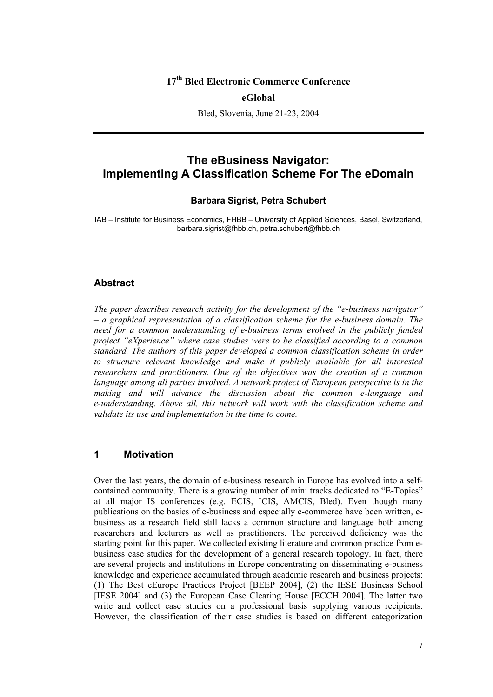# **17th Bled Electronic Commerce Conference**

#### **eGlobal**

Bled, Slovenia, June 21-23, 2004

# **The eBusiness Navigator: Implementing A Classification Scheme For The eDomain**

#### **Barbara Sigrist, Petra Schubert**

IAB – Institute for Business Economics, FHBB – University of Applied Sciences, Basel, Switzerland, barbara.sigrist@fhbb.ch, petra.schubert@fhbb.ch

#### **Abstract**

*The paper describes research activity for the development of the "e-business navigator" – a graphical representation of a classification scheme for the e-business domain. The*  need for a common understanding of e-business terms evolved in the publicly funded *project "eXperience" where case studies were to be classified according to a common standard. The authors of this paper developed a common classification scheme in order to structure relevant knowledge and make it publicly available for all interested researchers and practitioners. One of the objectives was the creation of a common*  language among all parties involved. A network project of European perspective is in the *making and will advance the discussion about the common e-language and e-understanding. Above all, this network will work with the classification scheme and validate its use and implementation in the time to come.* 

#### **1 Motivation**

Over the last years, the domain of e-business research in Europe has evolved into a selfcontained community. There is a growing number of mini tracks dedicated to "E-Topics" at all major IS conferences (e.g. ECIS, ICIS, AMCIS, Bled). Even though many publications on the basics of e-business and especially e-commerce have been written, ebusiness as a research field still lacks a common structure and language both among researchers and lecturers as well as practitioners. The perceived deficiency was the starting point for this paper. We collected existing literature and common practice from ebusiness case studies for the development of a general research topology. In fact, there are several projects and institutions in Europe concentrating on disseminating e-business knowledge and experience accumulated through academic research and business projects: (1) The Best eEurope Practices Project [BEEP 2004], (2) the IESE Business School [IESE 2004] and (3) the European Case Clearing House [ECCH 2004]. The latter two write and collect case studies on a professional basis supplying various recipients. However, the classification of their case studies is based on different categorization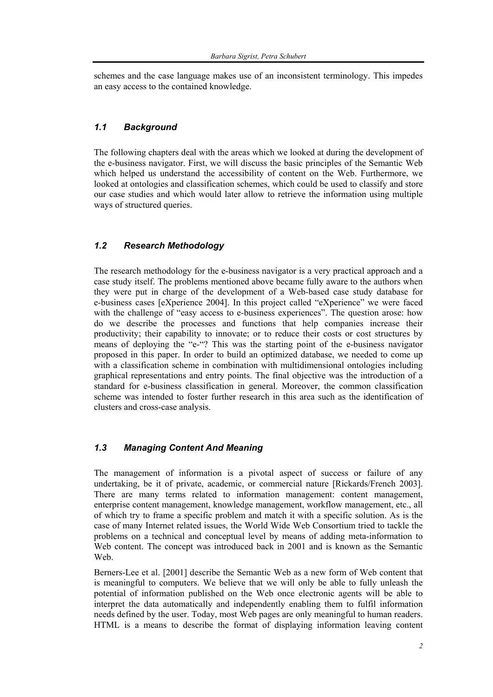schemes and the case language makes use of an inconsistent terminology. This impedes an easy access to the contained knowledge.

### *1.1 Background*

The following chapters deal with the areas which we looked at during the development of the e-business navigator. First, we will discuss the basic principles of the Semantic Web which helped us understand the accessibility of content on the Web. Furthermore, we looked at ontologies and classification schemes, which could be used to classify and store our case studies and which would later allow to retrieve the information using multiple ways of structured queries.

### *1.2 Research Methodology*

The research methodology for the e-business navigator is a very practical approach and a case study itself. The problems mentioned above became fully aware to the authors when they were put in charge of the development of a Web-based case study database for e-business cases [eXperience 2004]. In this project called "eXperience" we were faced with the challenge of "easy access to e-business experiences". The question arose: how do we describe the processes and functions that help companies increase their productivity; their capability to innovate; or to reduce their costs or cost structures by means of deploying the "e-"? This was the starting point of the e-business navigator proposed in this paper. In order to build an optimized database, we needed to come up with a classification scheme in combination with multidimensional ontologies including graphical representations and entry points. The final objective was the introduction of a standard for e-business classification in general. Moreover, the common classification scheme was intended to foster further research in this area such as the identification of clusters and cross-case analysis.

## *1.3 Managing Content And Meaning*

The management of information is a pivotal aspect of success or failure of any undertaking, be it of private, academic, or commercial nature [Rickards/French 2003]. There are many terms related to information management: content management, enterprise content management, knowledge management, workflow management, etc., all of which try to frame a specific problem and match it with a specific solution. As is the case of many Internet related issues, the World Wide Web Consortium tried to tackle the problems on a technical and conceptual level by means of adding meta-information to Web content. The concept was introduced back in 2001 and is known as the Semantic Web.

Berners-Lee et al. [2001] describe the Semantic Web as a new form of Web content that is meaningful to computers. We believe that we will only be able to fully unleash the potential of information published on the Web once electronic agents will be able to interpret the data automatically and independently enabling them to fulfil information needs defined by the user. Today, most Web pages are only meaningful to human readers. HTML is a means to describe the format of displaying information leaving content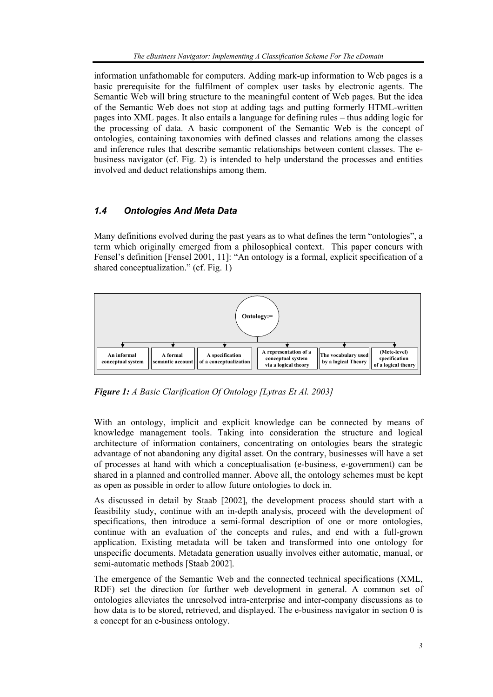information unfathomable for computers. Adding mark-up information to Web pages is a basic prerequisite for the fulfilment of complex user tasks by electronic agents. The Semantic Web will bring structure to the meaningful content of Web pages. But the idea of the Semantic Web does not stop at adding tags and putting formerly HTML-written pages into XML pages. It also entails a language for defining rules – thus adding logic for the processing of data. A basic component of the Semantic Web is the concept of ontologies, containing taxonomies with defined classes and relations among the classes and inference rules that describe semantic relationships between content classes. The ebusiness navigator (cf. Fig. 2) is intended to help understand the processes and entities involved and deduct relationships among them.

# *1.4 Ontologies And Meta Data*

Many definitions evolved during the past years as to what defines the term "ontologies", a term which originally emerged from a philosophical context. This paper concurs with Fensel's definition [Fensel 2001, 11]: "An ontology is a formal, explicit specification of a shared conceptualization." (cf. Fig. 1)



*Figure 1: A Basic Clarification Of Ontology [Lytras Et Al. 2003]* 

With an ontology, implicit and explicit knowledge can be connected by means of knowledge management tools. Taking into consideration the structure and logical architecture of information containers, concentrating on ontologies bears the strategic advantage of not abandoning any digital asset. On the contrary, businesses will have a set of processes at hand with which a conceptualisation (e-business, e-government) can be shared in a planned and controlled manner. Above all, the ontology schemes must be kept as open as possible in order to allow future ontologies to dock in.

As discussed in detail by Staab [2002], the development process should start with a feasibility study, continue with an in-depth analysis, proceed with the development of specifications, then introduce a semi-formal description of one or more ontologies, continue with an evaluation of the concepts and rules, and end with a full-grown application. Existing metadata will be taken and transformed into one ontology for unspecific documents. Metadata generation usually involves either automatic, manual, or semi-automatic methods [Staab 2002].

The emergence of the Semantic Web and the connected technical specifications (XML, RDF) set the direction for further web development in general. A common set of ontologies alleviates the unresolved intra-enterprise and inter-company discussions as to how data is to be stored, retrieved, and displayed. The e-business navigator in section 0 is a concept for an e-business ontology.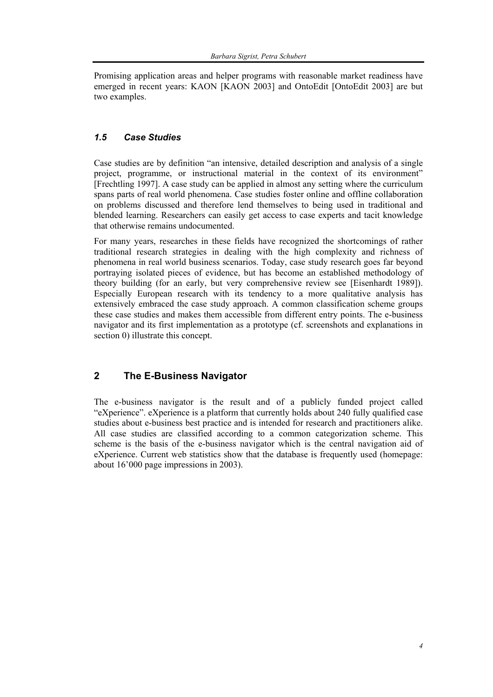Promising application areas and helper programs with reasonable market readiness have emerged in recent years: KAON [KAON 2003] and OntoEdit [OntoEdit 2003] are but two examples.

## *1.5 Case Studies*

Case studies are by definition "an intensive, detailed description and analysis of a single project, programme, or instructional material in the context of its environment" [Frechtling 1997]. A case study can be applied in almost any setting where the curriculum spans parts of real world phenomena. Case studies foster online and offline collaboration on problems discussed and therefore lend themselves to being used in traditional and blended learning. Researchers can easily get access to case experts and tacit knowledge that otherwise remains undocumented.

For many years, researches in these fields have recognized the shortcomings of rather traditional research strategies in dealing with the high complexity and richness of phenomena in real world business scenarios. Today, case study research goes far beyond portraying isolated pieces of evidence, but has become an established methodology of theory building (for an early, but very comprehensive review see [Eisenhardt 1989]). Especially European research with its tendency to a more qualitative analysis has extensively embraced the case study approach. A common classification scheme groups these case studies and makes them accessible from different entry points. The e-business navigator and its first implementation as a prototype (cf. screenshots and explanations in section 0) illustrate this concept.

# **2 The E-Business Navigator**

The e-business navigator is the result and of a publicly funded project called "eXperience". eXperience is a platform that currently holds about 240 fully qualified case studies about e-business best practice and is intended for research and practitioners alike. All case studies are classified according to a common categorization scheme. This scheme is the basis of the e-business navigator which is the central navigation aid of eXperience. Current web statistics show that the database is frequently used (homepage: about 16'000 page impressions in 2003).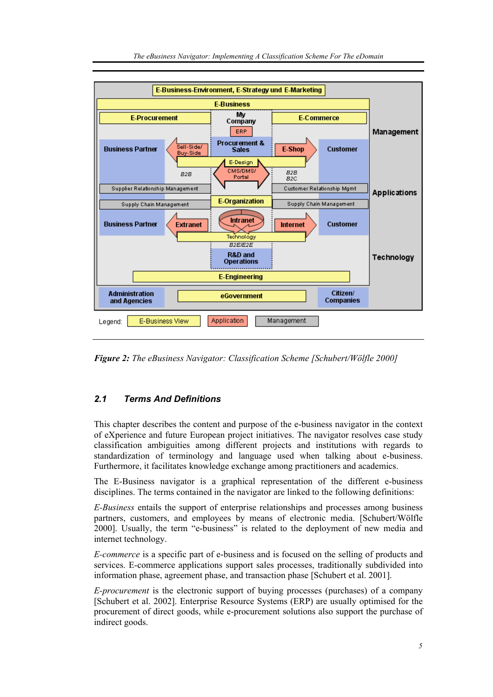

*Figure 2: The eBusiness Navigator: Classification Scheme [Schubert/Wölfle 2000]* 

# *2.1 Terms And Definitions*

This chapter describes the content and purpose of the e-business navigator in the context of eXperience and future European project initiatives. The navigator resolves case study classification ambiguities among different projects and institutions with regards to standardization of terminology and language used when talking about e-business. Furthermore, it facilitates knowledge exchange among practitioners and academics.

The E-Business navigator is a graphical representation of the different e-business disciplines. The terms contained in the navigator are linked to the following definitions:

*E-Business* entails the support of enterprise relationships and processes among business partners, customers, and employees by means of electronic media. [Schubert/Wölfle 2000]. Usually, the term "e-business" is related to the deployment of new media and internet technology.

*E-commerce* is a specific part of e-business and is focused on the selling of products and services. E-commerce applications support sales processes, traditionally subdivided into information phase, agreement phase, and transaction phase [Schubert et al. 2001].

*E-procurement* is the electronic support of buying processes (purchases) of a company [Schubert et al. 2002]. Enterprise Resource Systems (ERP) are usually optimised for the procurement of direct goods, while e-procurement solutions also support the purchase of indirect goods.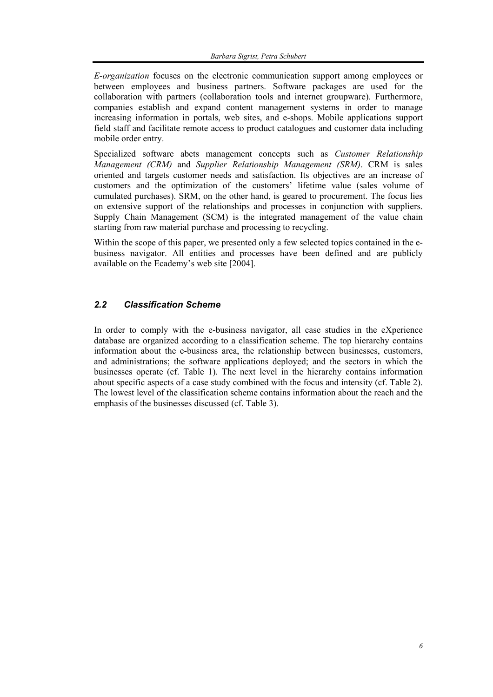*E-organization* focuses on the electronic communication support among employees or between employees and business partners. Software packages are used for the collaboration with partners (collaboration tools and internet groupware). Furthermore, companies establish and expand content management systems in order to manage increasing information in portals, web sites, and e-shops. Mobile applications support field staff and facilitate remote access to product catalogues and customer data including mobile order entry.

Specialized software abets management concepts such as *Customer Relationship Management (CRM)* and *Supplier Relationship Management (SRM)*. CRM is sales oriented and targets customer needs and satisfaction. Its objectives are an increase of customers and the optimization of the customers' lifetime value (sales volume of cumulated purchases). SRM, on the other hand, is geared to procurement. The focus lies on extensive support of the relationships and processes in conjunction with suppliers. Supply Chain Management (SCM) is the integrated management of the value chain starting from raw material purchase and processing to recycling.

Within the scope of this paper, we presented only a few selected topics contained in the ebusiness navigator. All entities and processes have been defined and are publicly available on the Ecademy's web site [2004].

### *2.2 Classification Scheme*

In order to comply with the e-business navigator, all case studies in the eXperience database are organized according to a classification scheme. The top hierarchy contains information about the e-business area, the relationship between businesses, customers, and administrations; the software applications deployed; and the sectors in which the businesses operate (cf. Table 1). The next level in the hierarchy contains information about specific aspects of a case study combined with the focus and intensity (cf. Table 2). The lowest level of the classification scheme contains information about the reach and the emphasis of the businesses discussed (cf. Table 3).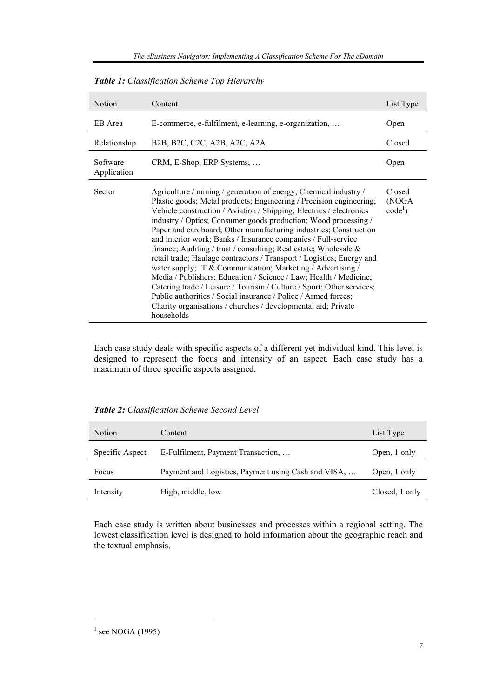| <b>Notion</b>           | Content                                                                                                                                                                                                                                                                                                                                                                                                                                                                                                                                                                                                                                                                                                                                                                                                                                                                                                                               | List Type                     |
|-------------------------|---------------------------------------------------------------------------------------------------------------------------------------------------------------------------------------------------------------------------------------------------------------------------------------------------------------------------------------------------------------------------------------------------------------------------------------------------------------------------------------------------------------------------------------------------------------------------------------------------------------------------------------------------------------------------------------------------------------------------------------------------------------------------------------------------------------------------------------------------------------------------------------------------------------------------------------|-------------------------------|
| EB Area                 | E-commerce, e-fulfilment, e-learning, e-organization,                                                                                                                                                                                                                                                                                                                                                                                                                                                                                                                                                                                                                                                                                                                                                                                                                                                                                 |                               |
| Relationship            | B <sub>2</sub> B <sub>,</sub> B <sub>2</sub> C <sub>,</sub> C <sub>2</sub> C <sub>,</sub> A <sub>2</sub> B <sub>, A<sub>2</sub>C<sub>, A<sub>2</sub>A<sub></sub></sub></sub>                                                                                                                                                                                                                                                                                                                                                                                                                                                                                                                                                                                                                                                                                                                                                          |                               |
| Software<br>Application | CRM, E-Shop, ERP Systems,                                                                                                                                                                                                                                                                                                                                                                                                                                                                                                                                                                                                                                                                                                                                                                                                                                                                                                             |                               |
| Sector                  | Agriculture / mining / generation of energy; Chemical industry /<br>Plastic goods; Metal products; Engineering / Precision engineering;<br>Vehicle construction / Aviation / Shipping; Electrics / electronics<br>industry / Optics; Consumer goods production; Wood processing /<br>Paper and cardboard; Other manufacturing industries; Construction<br>and interior work; Banks / Insurance companies / Full-service<br>finance; Auditing / trust / consulting; Real estate; Wholesale $\&$<br>retail trade; Haulage contractors / Transport / Logistics; Energy and<br>water supply; IT & Communication; Marketing / Advertising /<br>Media / Publishers; Education / Science / Law; Health / Medicine;<br>Catering trade / Leisure / Tourism / Culture / Sport; Other services;<br>Public authorities / Social insurance / Police / Armed forces;<br>Charity organisations / churches / developmental aid; Private<br>households | Closed<br>(NOGA)<br>$code1$ ) |

*Table 1: Classification Scheme Top Hierarchy* 

Each case study deals with specific aspects of a different yet individual kind. This level is designed to represent the focus and intensity of an aspect. Each case study has a maximum of three specific aspects assigned.

*Table 2: Classification Scheme Second Level* 

| <b>Notion</b>   | Content                                             | List Type      |
|-----------------|-----------------------------------------------------|----------------|
| Specific Aspect | E-Fulfilment, Payment Transaction,                  | Open, 1 only   |
| Focus           | Payment and Logistics, Payment using Cash and VISA, | Open, 1 only   |
| Intensity       | High, middle, low                                   | Closed, 1 only |

Each case study is written about businesses and processes within a regional setting. The lowest classification level is designed to hold information about the geographic reach and the textual emphasis.

l

 $<sup>1</sup>$  see NOGA (1995)</sup>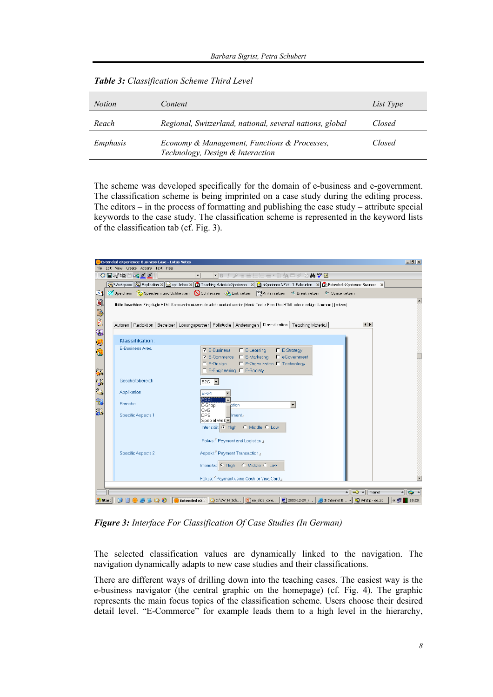| <i>Notion</i> | Content                                                                          | List Type |
|---------------|----------------------------------------------------------------------------------|-----------|
| Reach         | Regional, Switzerland, national, several nations, global                         | Closed    |
| Emphasis      | Economy & Management, Functions & Processes,<br>Technology, Design & Interaction | Closed    |

|  | Table 3: Classification Scheme Third Level |  |  |
|--|--------------------------------------------|--|--|
|--|--------------------------------------------|--|--|

The scheme was developed specifically for the domain of e-business and e-government. The classification scheme is being imprinted on a case study during the editing process. The editors – in the process of formatting and publishing the case study – attribute special keywords to the case study. The classification scheme is represented in the keyword lists of the classification tab (cf. Fig. 3).



*Figure 3: Interface For Classification Of Case Studies (In German)* 

The selected classification values are dynamically linked to the navigation. The navigation dynamically adapts to new case studies and their classifications.

There are different ways of drilling down into the teaching cases. The easiest way is the e-business navigator (the central graphic on the homepage) (cf. Fig. 4). The graphic represents the main focus topics of the classification scheme. Users choose their desired detail level. "E-Commerce" for example leads them to a high level in the hierarchy,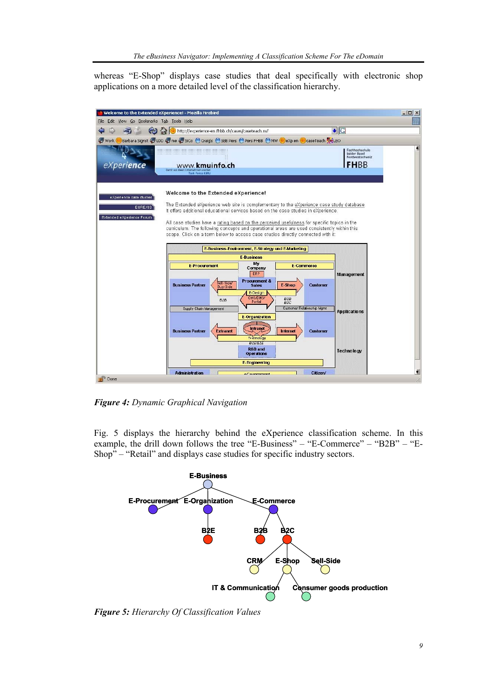whereas "E-Shop" displays case studies that deal specifically with electronic shop applications on a more detailed level of the classification hierarchy.



*Figure 4: Dynamic Graphical Navigation* 

Fig. 5 displays the hierarchy behind the eXperience classification scheme. In this example, the drill down follows the tree "E-Business" – "E-Commerce" – "B2B" – "E-Shop" – "Retail" and displays case studies for specific industry sectors.



*Figure 5: Hierarchy Of Classification Values*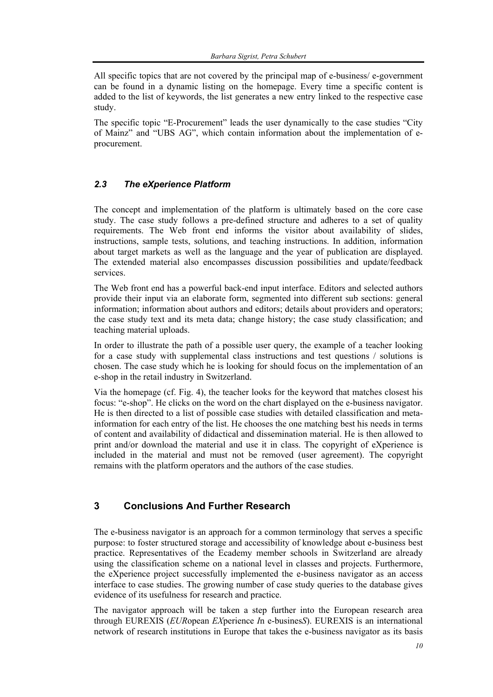All specific topics that are not covered by the principal map of e-business/ e-government can be found in a dynamic listing on the homepage. Every time a specific content is added to the list of keywords, the list generates a new entry linked to the respective case study.

The specific topic "E-Procurement" leads the user dynamically to the case studies "City of Mainz" and "UBS AG", which contain information about the implementation of eprocurement.

# *2.3 The eXperience Platform*

The concept and implementation of the platform is ultimately based on the core case study. The case study follows a pre-defined structure and adheres to a set of quality requirements. The Web front end informs the visitor about availability of slides, instructions, sample tests, solutions, and teaching instructions. In addition, information about target markets as well as the language and the year of publication are displayed. The extended material also encompasses discussion possibilities and update/feedback services.

The Web front end has a powerful back-end input interface. Editors and selected authors provide their input via an elaborate form, segmented into different sub sections: general information; information about authors and editors; details about providers and operators; the case study text and its meta data; change history; the case study classification; and teaching material uploads.

In order to illustrate the path of a possible user query, the example of a teacher looking for a case study with supplemental class instructions and test questions / solutions is chosen. The case study which he is looking for should focus on the implementation of an e-shop in the retail industry in Switzerland.

Via the homepage (cf. Fig. 4), the teacher looks for the keyword that matches closest his focus: "e-shop". He clicks on the word on the chart displayed on the e-business navigator. He is then directed to a list of possible case studies with detailed classification and metainformation for each entry of the list. He chooses the one matching best his needs in terms of content and availability of didactical and dissemination material. He is then allowed to print and/or download the material and use it in class. The copyright of eXperience is included in the material and must not be removed (user agreement). The copyright remains with the platform operators and the authors of the case studies.

# **3 Conclusions And Further Research**

The e-business navigator is an approach for a common terminology that serves a specific purpose: to foster structured storage and accessibility of knowledge about e-business best practice. Representatives of the Ecademy member schools in Switzerland are already using the classification scheme on a national level in classes and projects. Furthermore, the eXperience project successfully implemented the e-business navigator as an access interface to case studies. The growing number of case study queries to the database gives evidence of its usefulness for research and practice.

The navigator approach will be taken a step further into the European research area through EUREXIS (*EUR*opean *EX*perience *I*n e-busines*S*). EUREXIS is an international network of research institutions in Europe that takes the e-business navigator as its basis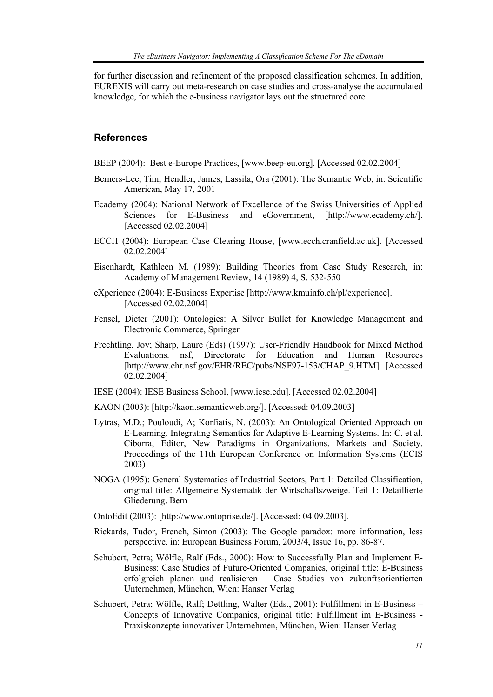for further discussion and refinement of the proposed classification schemes. In addition, EUREXIS will carry out meta-research on case studies and cross-analyse the accumulated knowledge, for which the e-business navigator lays out the structured core.

#### **References**

BEEP (2004): Best e-Europe Practices, [www.beep-eu.org]. [Accessed 02.02.2004]

- Berners-Lee, Tim; Hendler, James; Lassila, Ora (2001): The Semantic Web, in: Scientific American, May 17, 2001
- Ecademy (2004): National Network of Excellence of the Swiss Universities of Applied Sciences for E-Business and eGovernment, [http://www.ecademy.ch/]. [Accessed 02.02.2004]
- ECCH (2004): European Case Clearing House, [www.ecch.cranfield.ac.uk]. [Accessed 02.02.2004]
- Eisenhardt, Kathleen M. (1989): Building Theories from Case Study Research, in: Academy of Management Review, 14 (1989) 4, S. 532-550
- eXperience (2004): E-Business Expertise [http://www.kmuinfo.ch/pl/experience]. [Accessed 02.02.2004]
- Fensel, Dieter (2001): Ontologies: A Silver Bullet for Knowledge Management and Electronic Commerce, Springer
- Frechtling, Joy; Sharp, Laure (Eds) (1997): User-Friendly Handbook for Mixed Method Evaluations. nsf, Directorate for Education and Human Resources [http://www.ehr.nsf.gov/EHR/REC/pubs/NSF97-153/CHAP\_9.HTM]. [Accessed 02.02.2004]
- IESE (2004): IESE Business School, [www.iese.edu]. [Accessed 02.02.2004]
- KAON (2003): [http://kaon.semanticweb.org/]. [Accessed: 04.09.2003]
- Lytras, M.D.; Pouloudi, A; Korfiatis, N. (2003): An Ontological Oriented Approach on E-Learning. Integrating Semantics for Adaptive E-Learning Systems. In: C. et al. Ciborra, Editor, New Paradigms in Organizations, Markets and Society. Proceedings of the 11th European Conference on Information Systems (ECIS 2003)
- NOGA (1995): General Systematics of Industrial Sectors, Part 1: Detailed Classification, original title: Allgemeine Systematik der Wirtschaftszweige. Teil 1: Detaillierte Gliederung. Bern
- OntoEdit (2003): [http://www.ontoprise.de/]. [Accessed: 04.09.2003].
- Rickards, Tudor, French, Simon (2003): The Google paradox: more information, less perspective, in: European Business Forum, 2003/4, Issue 16, pp. 86-87.
- Schubert, Petra; Wölfle, Ralf (Eds., 2000): How to Successfully Plan and Implement E-Business: Case Studies of Future-Oriented Companies, original title: E-Business erfolgreich planen und realisieren – Case Studies von zukunftsorientierten Unternehmen, München, Wien: Hanser Verlag
- Schubert, Petra; Wölfle, Ralf; Dettling, Walter (Eds., 2001): Fulfillment in E-Business Concepts of Innovative Companies, original title: Fulfillment im E-Business - Praxiskonzepte innovativer Unternehmen, München, Wien: Hanser Verlag